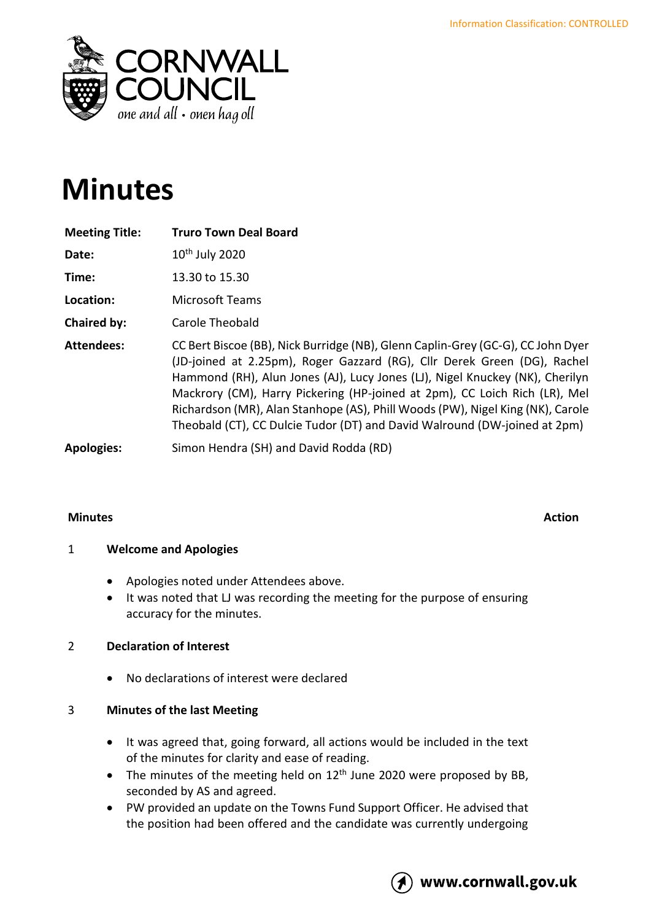

# **Minutes**

| <b>Meeting Title:</b> | <b>Truro Town Deal Board</b>                                                                                                                                                                                                                                                                                                                                                                                                                                                             |
|-----------------------|------------------------------------------------------------------------------------------------------------------------------------------------------------------------------------------------------------------------------------------------------------------------------------------------------------------------------------------------------------------------------------------------------------------------------------------------------------------------------------------|
| Date:                 | 10 <sup>th</sup> July 2020                                                                                                                                                                                                                                                                                                                                                                                                                                                               |
| Time:                 | 13.30 to 15.30                                                                                                                                                                                                                                                                                                                                                                                                                                                                           |
| Location:             | <b>Microsoft Teams</b>                                                                                                                                                                                                                                                                                                                                                                                                                                                                   |
| Chaired by:           | Carole Theobald                                                                                                                                                                                                                                                                                                                                                                                                                                                                          |
| <b>Attendees:</b>     | CC Bert Biscoe (BB), Nick Burridge (NB), Glenn Caplin-Grey (GC-G), CC John Dyer<br>(JD-joined at 2.25pm), Roger Gazzard (RG), Cllr Derek Green (DG), Rachel<br>Hammond (RH), Alun Jones (AJ), Lucy Jones (LJ), Nigel Knuckey (NK), Cherilyn<br>Mackrory (CM), Harry Pickering (HP-joined at 2pm), CC Loich Rich (LR), Mel<br>Richardson (MR), Alan Stanhope (AS), Phill Woods (PW), Nigel King (NK), Carole<br>Theobald (CT), CC Dulcie Tudor (DT) and David Walround (DW-joined at 2pm) |
| <b>Apologies:</b>     | Simon Hendra (SH) and David Rodda (RD)                                                                                                                                                                                                                                                                                                                                                                                                                                                   |

### **Minutes Action**

# 1 **Welcome and Apologies**

- Apologies noted under Attendees above.
- It was noted that LJ was recording the meeting for the purpose of ensuring accuracy for the minutes.

# 2 **Declaration of Interest**

• No declarations of interest were declared

# 3 **Minutes of the last Meeting**

- It was agreed that, going forward, all actions would be included in the text of the minutes for clarity and ease of reading.
- The minutes of the meeting held on  $12<sup>th</sup>$  June 2020 were proposed by BB, seconded by AS and agreed.
- PW provided an update on the Towns Fund Support Officer. He advised that the position had been offered and the candidate was currently undergoing

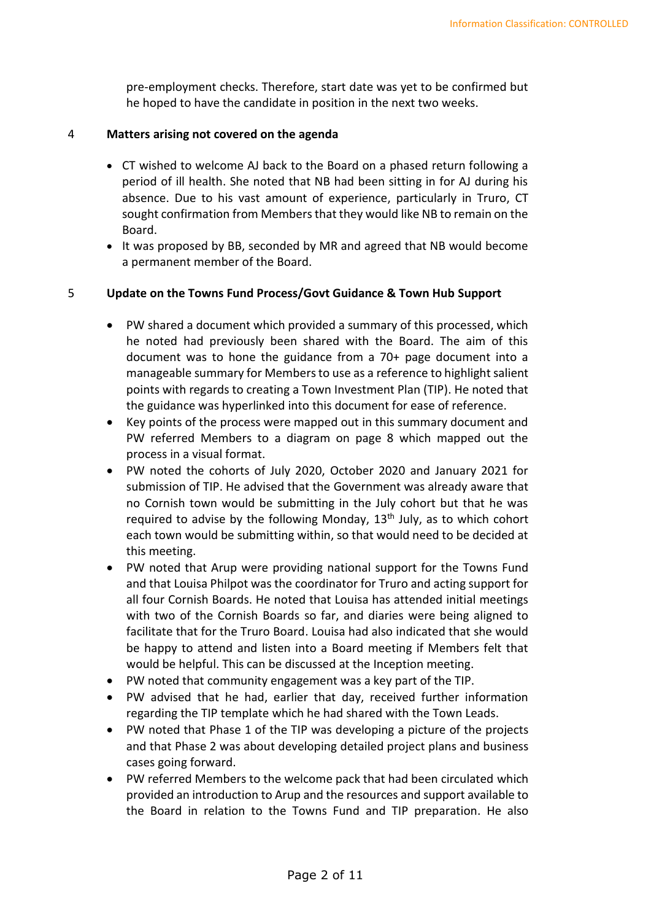pre-employment checks. Therefore, start date was yet to be confirmed but he hoped to have the candidate in position in the next two weeks.

#### 4 **Matters arising not covered on the agenda**

- CT wished to welcome AJ back to the Board on a phased return following a period of ill health. She noted that NB had been sitting in for AJ during his absence. Due to his vast amount of experience, particularly in Truro, CT sought confirmation from Members that they would like NB to remain on the Board.
- It was proposed by BB, seconded by MR and agreed that NB would become a permanent member of the Board.

#### 5 **Update on the Towns Fund Process/Govt Guidance & Town Hub Support**

- PW shared a document which provided a summary of this processed, which he noted had previously been shared with the Board. The aim of this document was to hone the guidance from a 70+ page document into a manageable summary for Members to use as a reference to highlight salient points with regards to creating a Town Investment Plan (TIP). He noted that the guidance was hyperlinked into this document for ease of reference.
- Key points of the process were mapped out in this summary document and PW referred Members to a diagram on page 8 which mapped out the process in a visual format.
- PW noted the cohorts of July 2020, October 2020 and January 2021 for submission of TIP. He advised that the Government was already aware that no Cornish town would be submitting in the July cohort but that he was required to advise by the following Monday,  $13<sup>th</sup>$  July, as to which cohort each town would be submitting within, so that would need to be decided at this meeting.
- PW noted that Arup were providing national support for the Towns Fund and that Louisa Philpot was the coordinator for Truro and acting support for all four Cornish Boards. He noted that Louisa has attended initial meetings with two of the Cornish Boards so far, and diaries were being aligned to facilitate that for the Truro Board. Louisa had also indicated that she would be happy to attend and listen into a Board meeting if Members felt that would be helpful. This can be discussed at the Inception meeting.
- PW noted that community engagement was a key part of the TIP.
- PW advised that he had, earlier that day, received further information regarding the TIP template which he had shared with the Town Leads.
- PW noted that Phase 1 of the TIP was developing a picture of the projects and that Phase 2 was about developing detailed project plans and business cases going forward.
- PW referred Members to the welcome pack that had been circulated which provided an introduction to Arup and the resources and support available to the Board in relation to the Towns Fund and TIP preparation. He also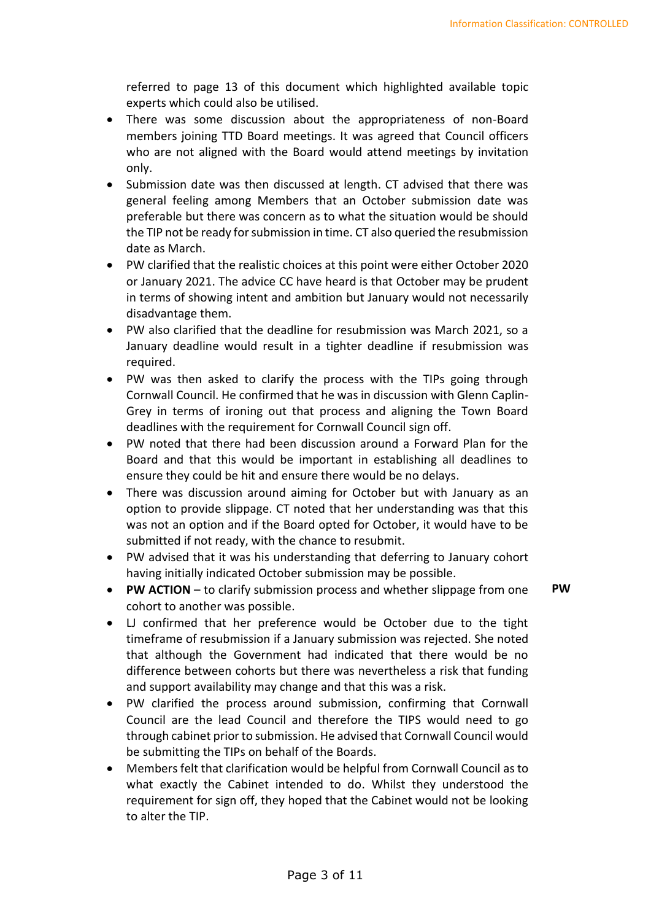referred to page 13 of this document which highlighted available topic experts which could also be utilised.

- There was some discussion about the appropriateness of non-Board members joining TTD Board meetings. It was agreed that Council officers who are not aligned with the Board would attend meetings by invitation only.
- Submission date was then discussed at length. CT advised that there was general feeling among Members that an October submission date was preferable but there was concern as to what the situation would be should the TIP not be ready for submission in time. CT also queried the resubmission date as March.
- PW clarified that the realistic choices at this point were either October 2020 or January 2021. The advice CC have heard is that October may be prudent in terms of showing intent and ambition but January would not necessarily disadvantage them.
- PW also clarified that the deadline for resubmission was March 2021, so a January deadline would result in a tighter deadline if resubmission was required.
- PW was then asked to clarify the process with the TIPs going through Cornwall Council. He confirmed that he was in discussion with Glenn Caplin-Grey in terms of ironing out that process and aligning the Town Board deadlines with the requirement for Cornwall Council sign off.
- PW noted that there had been discussion around a Forward Plan for the Board and that this would be important in establishing all deadlines to ensure they could be hit and ensure there would be no delays.
- There was discussion around aiming for October but with January as an option to provide slippage. CT noted that her understanding was that this was not an option and if the Board opted for October, it would have to be submitted if not ready, with the chance to resubmit.
- PW advised that it was his understanding that deferring to January cohort having initially indicated October submission may be possible.
- **PW ACTION** to clarify submission process and whether slippage from one cohort to another was possible. **PW**
- LJ confirmed that her preference would be October due to the tight timeframe of resubmission if a January submission was rejected. She noted that although the Government had indicated that there would be no difference between cohorts but there was nevertheless a risk that funding and support availability may change and that this was a risk.
- PW clarified the process around submission, confirming that Cornwall Council are the lead Council and therefore the TIPS would need to go through cabinet prior to submission. He advised that Cornwall Council would be submitting the TIPs on behalf of the Boards.
- Members felt that clarification would be helpful from Cornwall Council as to what exactly the Cabinet intended to do. Whilst they understood the requirement for sign off, they hoped that the Cabinet would not be looking to alter the TIP.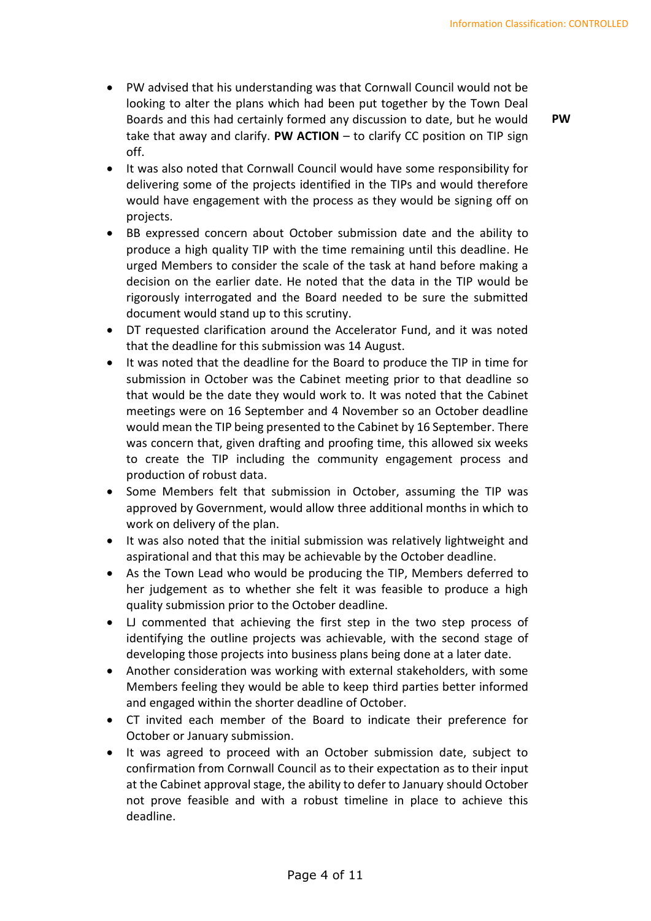• PW advised that his understanding was that Cornwall Council would not be looking to alter the plans which had been put together by the Town Deal Boards and this had certainly formed any discussion to date, but he would take that away and clarify. **PW ACTION** – to clarify CC position on TIP sign off.

**PW**

- It was also noted that Cornwall Council would have some responsibility for delivering some of the projects identified in the TIPs and would therefore would have engagement with the process as they would be signing off on projects.
- BB expressed concern about October submission date and the ability to produce a high quality TIP with the time remaining until this deadline. He urged Members to consider the scale of the task at hand before making a decision on the earlier date. He noted that the data in the TIP would be rigorously interrogated and the Board needed to be sure the submitted document would stand up to this scrutiny.
- DT requested clarification around the Accelerator Fund, and it was noted that the deadline for this submission was 14 August.
- It was noted that the deadline for the Board to produce the TIP in time for submission in October was the Cabinet meeting prior to that deadline so that would be the date they would work to. It was noted that the Cabinet meetings were on 16 September and 4 November so an October deadline would mean the TIP being presented to the Cabinet by 16 September. There was concern that, given drafting and proofing time, this allowed six weeks to create the TIP including the community engagement process and production of robust data.
- Some Members felt that submission in October, assuming the TIP was approved by Government, would allow three additional months in which to work on delivery of the plan.
- It was also noted that the initial submission was relatively lightweight and aspirational and that this may be achievable by the October deadline.
- As the Town Lead who would be producing the TIP, Members deferred to her judgement as to whether she felt it was feasible to produce a high quality submission prior to the October deadline.
- LJ commented that achieving the first step in the two step process of identifying the outline projects was achievable, with the second stage of developing those projects into business plans being done at a later date.
- Another consideration was working with external stakeholders, with some Members feeling they would be able to keep third parties better informed and engaged within the shorter deadline of October.
- CT invited each member of the Board to indicate their preference for October or January submission.
- It was agreed to proceed with an October submission date, subject to confirmation from Cornwall Council as to their expectation as to their input at the Cabinet approval stage, the ability to defer to January should October not prove feasible and with a robust timeline in place to achieve this deadline.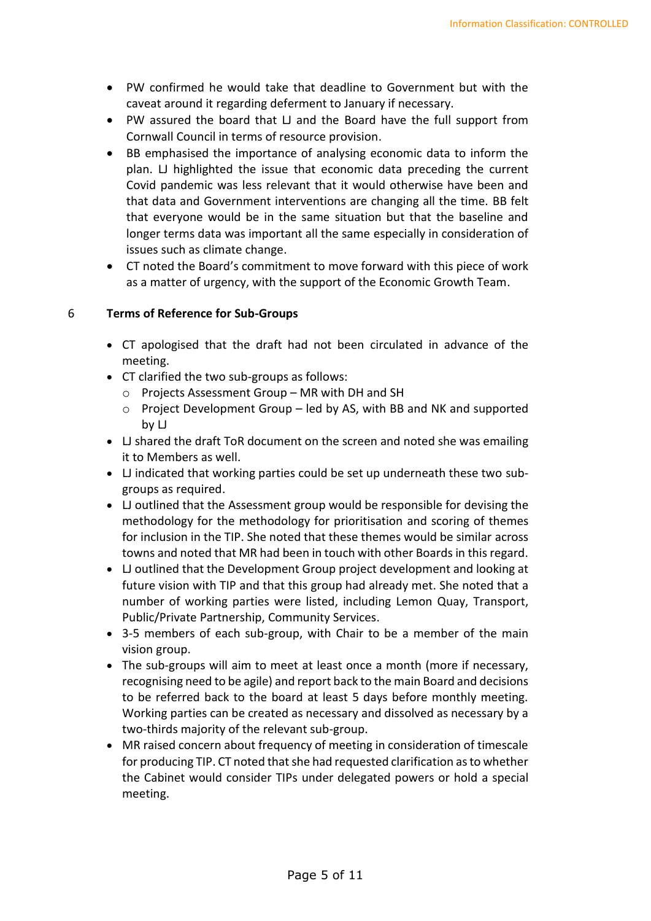- PW confirmed he would take that deadline to Government but with the caveat around it regarding deferment to January if necessary.
- PW assured the board that LJ and the Board have the full support from Cornwall Council in terms of resource provision.
- BB emphasised the importance of analysing economic data to inform the plan. LJ highlighted the issue that economic data preceding the current Covid pandemic was less relevant that it would otherwise have been and that data and Government interventions are changing all the time. BB felt that everyone would be in the same situation but that the baseline and longer terms data was important all the same especially in consideration of issues such as climate change.
- CT noted the Board's commitment to move forward with this piece of work as a matter of urgency, with the support of the Economic Growth Team.

#### 6 **Terms of Reference for Sub-Groups**

- CT apologised that the draft had not been circulated in advance of the meeting.
- CT clarified the two sub-groups as follows:
	- o Projects Assessment Group MR with DH and SH
	- $\circ$  Project Development Group led by AS, with BB and NK and supported by LJ
- LJ shared the draft ToR document on the screen and noted she was emailing it to Members as well.
- LJ indicated that working parties could be set up underneath these two subgroups as required.
- LJ outlined that the Assessment group would be responsible for devising the methodology for the methodology for prioritisation and scoring of themes for inclusion in the TIP. She noted that these themes would be similar across towns and noted that MR had been in touch with other Boards in this regard.
- LJ outlined that the Development Group project development and looking at future vision with TIP and that this group had already met. She noted that a number of working parties were listed, including Lemon Quay, Transport, Public/Private Partnership, Community Services.
- 3-5 members of each sub-group, with Chair to be a member of the main vision group.
- The sub-groups will aim to meet at least once a month (more if necessary, recognising need to be agile) and report back to the main Board and decisions to be referred back to the board at least 5 days before monthly meeting. Working parties can be created as necessary and dissolved as necessary by a two-thirds majority of the relevant sub-group.
- MR raised concern about frequency of meeting in consideration of timescale for producing TIP. CT noted that she had requested clarification as to whether the Cabinet would consider TIPs under delegated powers or hold a special meeting.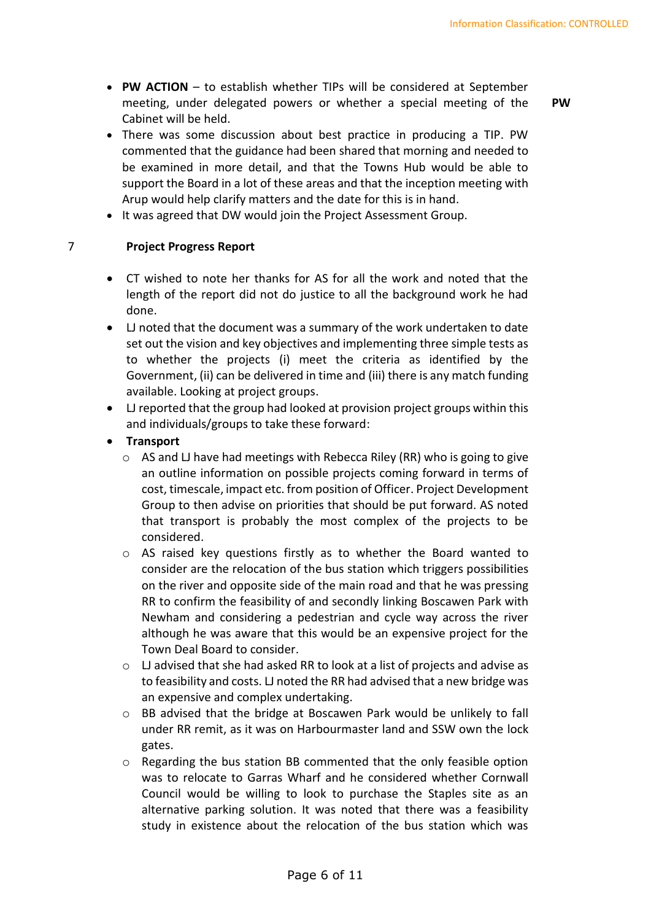• **PW ACTION** – to establish whether TIPs will be considered at September meeting, under delegated powers or whether a special meeting of the Cabinet will be held.

**PW**

- There was some discussion about best practice in producing a TIP. PW commented that the guidance had been shared that morning and needed to be examined in more detail, and that the Towns Hub would be able to support the Board in a lot of these areas and that the inception meeting with Arup would help clarify matters and the date for this is in hand.
- It was agreed that DW would join the Project Assessment Group.

#### 7 **Project Progress Report**

- CT wished to note her thanks for AS for all the work and noted that the length of the report did not do justice to all the background work he had done.
- LJ noted that the document was a summary of the work undertaken to date set out the vision and key objectives and implementing three simple tests as to whether the projects (i) meet the criteria as identified by the Government, (ii) can be delivered in time and (iii) there is any match funding available. Looking at project groups.
- LJ reported that the group had looked at provision project groups within this and individuals/groups to take these forward:
- **Transport**
	- o AS and LJ have had meetings with Rebecca Riley (RR) who is going to give an outline information on possible projects coming forward in terms of cost, timescale, impact etc. from position of Officer. Project Development Group to then advise on priorities that should be put forward. AS noted that transport is probably the most complex of the projects to be considered.
	- o AS raised key questions firstly as to whether the Board wanted to consider are the relocation of the bus station which triggers possibilities on the river and opposite side of the main road and that he was pressing RR to confirm the feasibility of and secondly linking Boscawen Park with Newham and considering a pedestrian and cycle way across the river although he was aware that this would be an expensive project for the Town Deal Board to consider.
	- $\circ$  LJ advised that she had asked RR to look at a list of projects and advise as to feasibility and costs. LJ noted the RR had advised that a new bridge was an expensive and complex undertaking.
	- o BB advised that the bridge at Boscawen Park would be unlikely to fall under RR remit, as it was on Harbourmaster land and SSW own the lock gates.
	- o Regarding the bus station BB commented that the only feasible option was to relocate to Garras Wharf and he considered whether Cornwall Council would be willing to look to purchase the Staples site as an alternative parking solution. It was noted that there was a feasibility study in existence about the relocation of the bus station which was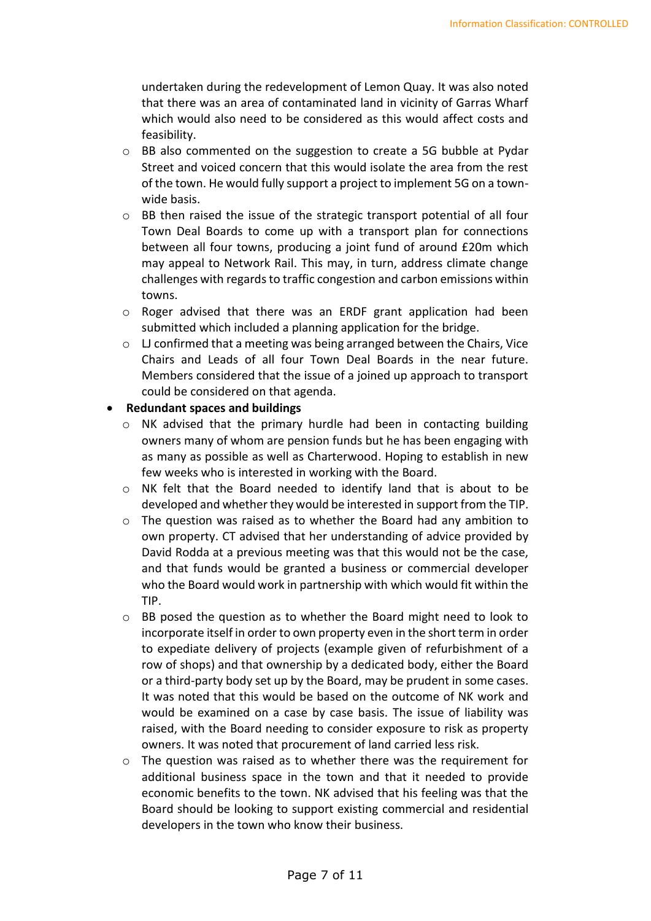undertaken during the redevelopment of Lemon Quay. It was also noted that there was an area of contaminated land in vicinity of Garras Wharf which would also need to be considered as this would affect costs and feasibility.

- o BB also commented on the suggestion to create a 5G bubble at Pydar Street and voiced concern that this would isolate the area from the rest of the town. He would fully support a project to implement 5G on a townwide basis.
- o BB then raised the issue of the strategic transport potential of all four Town Deal Boards to come up with a transport plan for connections between all four towns, producing a joint fund of around £20m which may appeal to Network Rail. This may, in turn, address climate change challenges with regards to traffic congestion and carbon emissions within towns.
- o Roger advised that there was an ERDF grant application had been submitted which included a planning application for the bridge.
- $\circ$  LJ confirmed that a meeting was being arranged between the Chairs, Vice Chairs and Leads of all four Town Deal Boards in the near future. Members considered that the issue of a joined up approach to transport could be considered on that agenda.

#### • **Redundant spaces and buildings**

- o NK advised that the primary hurdle had been in contacting building owners many of whom are pension funds but he has been engaging with as many as possible as well as Charterwood. Hoping to establish in new few weeks who is interested in working with the Board.
- o NK felt that the Board needed to identify land that is about to be developed and whether they would be interested in support from the TIP.
- o The question was raised as to whether the Board had any ambition to own property. CT advised that her understanding of advice provided by David Rodda at a previous meeting was that this would not be the case, and that funds would be granted a business or commercial developer who the Board would work in partnership with which would fit within the TIP.
- o BB posed the question as to whether the Board might need to look to incorporate itself in order to own property even in the short term in order to expediate delivery of projects (example given of refurbishment of a row of shops) and that ownership by a dedicated body, either the Board or a third-party body set up by the Board, may be prudent in some cases. It was noted that this would be based on the outcome of NK work and would be examined on a case by case basis. The issue of liability was raised, with the Board needing to consider exposure to risk as property owners. It was noted that procurement of land carried less risk.
- o The question was raised as to whether there was the requirement for additional business space in the town and that it needed to provide economic benefits to the town. NK advised that his feeling was that the Board should be looking to support existing commercial and residential developers in the town who know their business.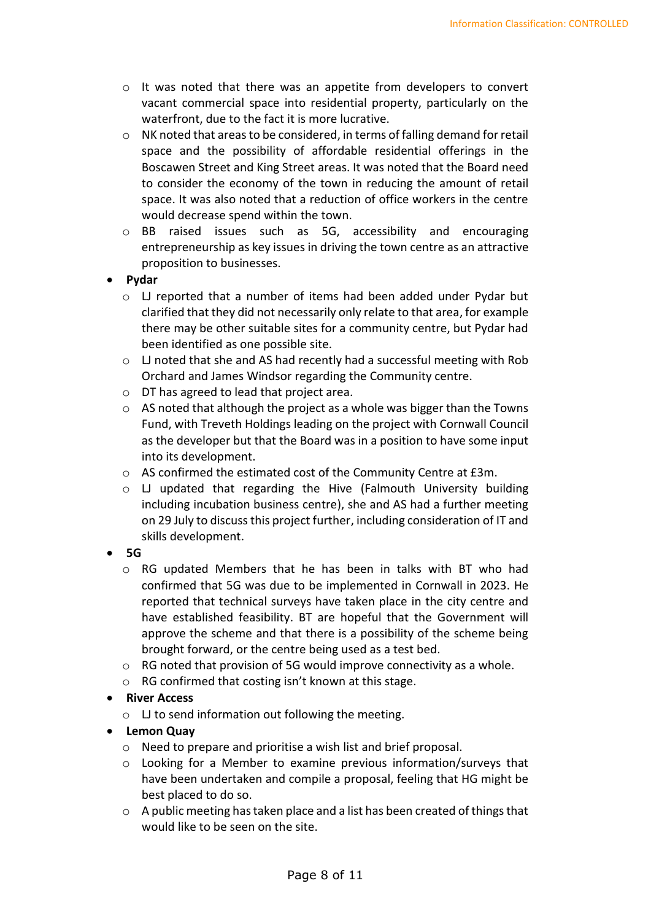- o It was noted that there was an appetite from developers to convert vacant commercial space into residential property, particularly on the waterfront, due to the fact it is more lucrative.
- o NK noted that areas to be considered, in terms of falling demand for retail space and the possibility of affordable residential offerings in the Boscawen Street and King Street areas. It was noted that the Board need to consider the economy of the town in reducing the amount of retail space. It was also noted that a reduction of office workers in the centre would decrease spend within the town.
- o BB raised issues such as 5G, accessibility and encouraging entrepreneurship as key issues in driving the town centre as an attractive proposition to businesses.
- **Pydar**
	- o LJ reported that a number of items had been added under Pydar but clarified that they did not necessarily only relate to that area, for example there may be other suitable sites for a community centre, but Pydar had been identified as one possible site.
	- o LJ noted that she and AS had recently had a successful meeting with Rob Orchard and James Windsor regarding the Community centre.
	- o DT has agreed to lead that project area.
	- o AS noted that although the project as a whole was bigger than the Towns Fund, with Treveth Holdings leading on the project with Cornwall Council as the developer but that the Board was in a position to have some input into its development.
	- o AS confirmed the estimated cost of the Community Centre at £3m.
	- o LJ updated that regarding the Hive (Falmouth University building including incubation business centre), she and AS had a further meeting on 29 July to discuss this project further, including consideration of IT and skills development.
- **5G** 
	- o RG updated Members that he has been in talks with BT who had confirmed that 5G was due to be implemented in Cornwall in 2023. He reported that technical surveys have taken place in the city centre and have established feasibility. BT are hopeful that the Government will approve the scheme and that there is a possibility of the scheme being brought forward, or the centre being used as a test bed.
	- $\circ$  RG noted that provision of 5G would improve connectivity as a whole.
	- o RG confirmed that costing isn't known at this stage.
- **River Access** 
	- o LJ to send information out following the meeting.
- **Lemon Quay**
	- o Need to prepare and prioritise a wish list and brief proposal.
	- o Looking for a Member to examine previous information/surveys that have been undertaken and compile a proposal, feeling that HG might be best placed to do so.
	- o A public meeting has taken place and a list has been created of things that would like to be seen on the site.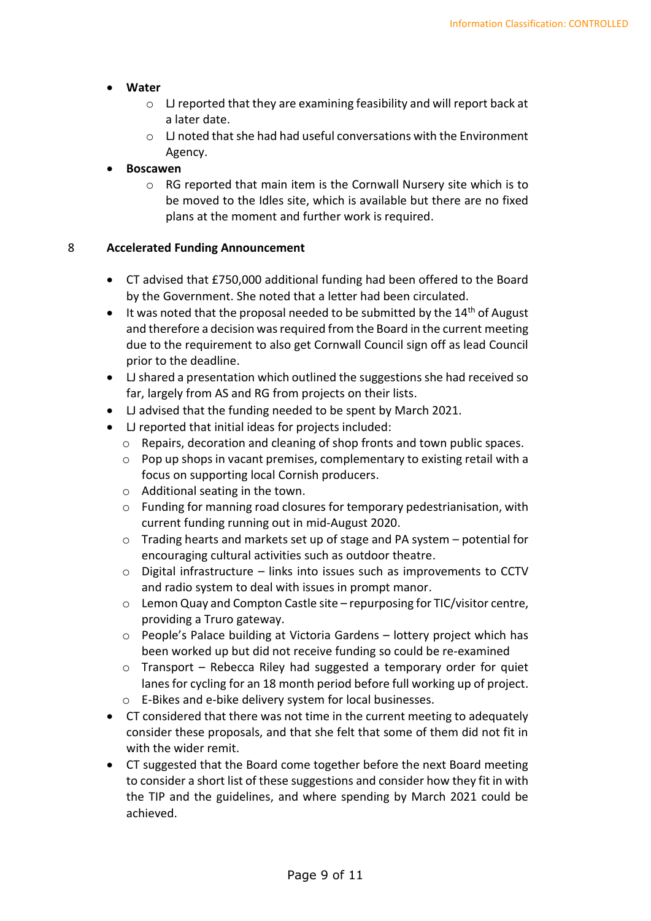#### • **Water**

- o LJ reported that they are examining feasibility and will report back at a later date.
- o LJ noted that she had had useful conversations with the Environment Agency.

#### • **Boscawen**

o RG reported that main item is the Cornwall Nursery site which is to be moved to the Idles site, which is available but there are no fixed plans at the moment and further work is required.

#### 8 **Accelerated Funding Announcement**

- CT advised that £750,000 additional funding had been offered to the Board by the Government. She noted that a letter had been circulated.
- It was noted that the proposal needed to be submitted by the  $14<sup>th</sup>$  of August and therefore a decision was required from the Board in the current meeting due to the requirement to also get Cornwall Council sign off as lead Council prior to the deadline.
- LJ shared a presentation which outlined the suggestions she had received so far, largely from AS and RG from projects on their lists.
- LJ advised that the funding needed to be spent by March 2021.
- LJ reported that initial ideas for projects included:
	- o Repairs, decoration and cleaning of shop fronts and town public spaces.
	- $\circ$  Pop up shops in vacant premises, complementary to existing retail with a focus on supporting local Cornish producers.
	- o Additional seating in the town.
	- o Funding for manning road closures for temporary pedestrianisation, with current funding running out in mid-August 2020.
	- $\circ$  Trading hearts and markets set up of stage and PA system potential for encouraging cultural activities such as outdoor theatre.
	- o Digital infrastructure links into issues such as improvements to CCTV and radio system to deal with issues in prompt manor.
	- o Lemon Quay and Compton Castle site repurposing for TIC/visitor centre, providing a Truro gateway.
	- o People's Palace building at Victoria Gardens lottery project which has been worked up but did not receive funding so could be re-examined
	- o Transport Rebecca Riley had suggested a temporary order for quiet lanes for cycling for an 18 month period before full working up of project.
	- o E-Bikes and e-bike delivery system for local businesses.
- CT considered that there was not time in the current meeting to adequately consider these proposals, and that she felt that some of them did not fit in with the wider remit.
- CT suggested that the Board come together before the next Board meeting to consider a short list of these suggestions and consider how they fit in with the TIP and the guidelines, and where spending by March 2021 could be achieved.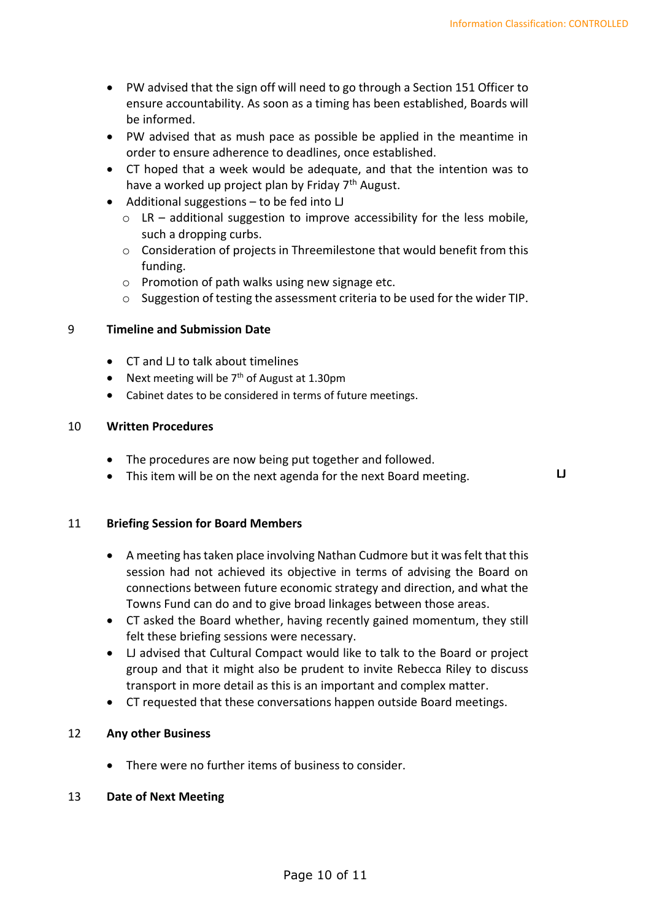- PW advised that the sign off will need to go through a Section 151 Officer to ensure accountability. As soon as a timing has been established, Boards will be informed.
- PW advised that as mush pace as possible be applied in the meantime in order to ensure adherence to deadlines, once established.
- CT hoped that a week would be adequate, and that the intention was to have a worked up project plan by Friday  $7<sup>th</sup>$  August.
- Additional suggestions to be fed into LJ
	- $\circ$  LR additional suggestion to improve accessibility for the less mobile, such a dropping curbs.
	- o Consideration of projects in Threemilestone that would benefit from this funding.
	- $\circ$  Promotion of path walks using new signage etc.
	- o Suggestion of testing the assessment criteria to be used for the wider TIP.

#### 9 **Timeline and Submission Date**

- CT and LJ to talk about timelines
- Next meeting will be  $7<sup>th</sup>$  of August at 1.30pm
- Cabinet dates to be considered in terms of future meetings.

#### 10 **Written Procedures**

- The procedures are now being put together and followed.
- This item will be on the next agenda for the next Board meeting. **LJ**

#### 11 **Briefing Session for Board Members**

- A meeting has taken place involving Nathan Cudmore but it was felt that this session had not achieved its objective in terms of advising the Board on connections between future economic strategy and direction, and what the Towns Fund can do and to give broad linkages between those areas.
- CT asked the Board whether, having recently gained momentum, they still felt these briefing sessions were necessary.
- LJ advised that Cultural Compact would like to talk to the Board or project group and that it might also be prudent to invite Rebecca Riley to discuss transport in more detail as this is an important and complex matter.
- CT requested that these conversations happen outside Board meetings.

#### 12 **Any other Business**

• There were no further items of business to consider.

#### 13 **Date of Next Meeting**